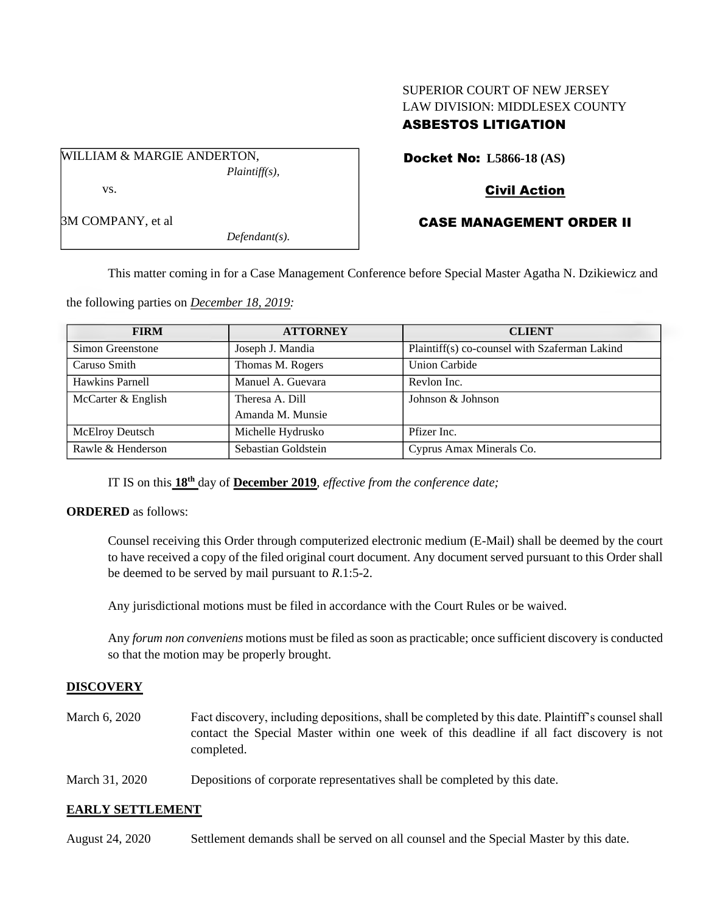# SUPERIOR COURT OF NEW JERSEY LAW DIVISION: MIDDLESEX COUNTY ASBESTOS LITIGATION

Docket No: **L5866-18 (AS)**

## Civil Action

## CASE MANAGEMENT ORDER II

3M COMPANY, et al *Defendant(s).*

*Plaintiff(s),*

This matter coming in for a Case Management Conference before Special Master Agatha N. Dzikiewicz and

the following parties on *December 18, 2019:*

WILLIAM & MARGIE ANDERTON,

vs.

| <b>FIRM</b>                              | <b>ATTORNEY</b>   | <b>CLIENT</b>                                 |
|------------------------------------------|-------------------|-----------------------------------------------|
| Simon Greenstone                         | Joseph J. Mandia  | Plaintiff(s) co-counsel with Szaferman Lakind |
| Caruso Smith                             | Thomas M. Rogers  | <b>Union Carbide</b>                          |
| Hawkins Parnell                          | Manuel A. Guevara | Revlon Inc.                                   |
| McCarter & English                       | Theresa A. Dill   | Johnson & Johnson                             |
|                                          | Amanda M. Munsie  |                                               |
| <b>McElroy Deutsch</b>                   | Michelle Hydrusko | Pfizer Inc.                                   |
| Rawle & Henderson<br>Sebastian Goldstein |                   | Cyprus Amax Minerals Co.                      |

IT IS on this **18 th** day of **December 2019**, *effective from the conference date;*

### **ORDERED** as follows:

Counsel receiving this Order through computerized electronic medium (E-Mail) shall be deemed by the court to have received a copy of the filed original court document. Any document served pursuant to this Order shall be deemed to be served by mail pursuant to *R*.1:5-2.

Any jurisdictional motions must be filed in accordance with the Court Rules or be waived.

Any *forum non conveniens* motions must be filed as soon as practicable; once sufficient discovery is conducted so that the motion may be properly brought.

## **DISCOVERY**

- March 6, 2020 Fact discovery, including depositions, shall be completed by this date. Plaintiff's counsel shall contact the Special Master within one week of this deadline if all fact discovery is not completed.
- March 31, 2020 Depositions of corporate representatives shall be completed by this date.

### **EARLY SETTLEMENT**

| August 24, 2020 | Settlement demands shall be served on all counsel and the Special Master by this date. |
|-----------------|----------------------------------------------------------------------------------------|
|-----------------|----------------------------------------------------------------------------------------|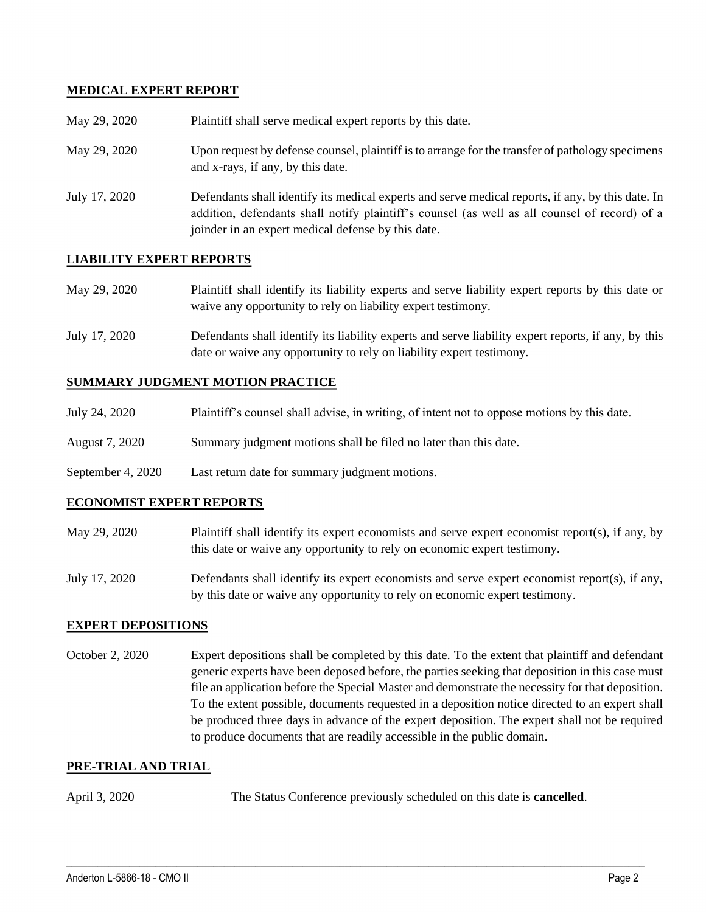## **MEDICAL EXPERT REPORT**

| May 29, 2020  | Plaintiff shall serve medical expert reports by this date.                                                                                                                                                                                               |
|---------------|----------------------------------------------------------------------------------------------------------------------------------------------------------------------------------------------------------------------------------------------------------|
| May 29, 2020  | Upon request by defense counsel, plaintiff is to arrange for the transfer of pathology specimens<br>and x-rays, if any, by this date.                                                                                                                    |
| July 17, 2020 | Defendants shall identify its medical experts and serve medical reports, if any, by this date. In<br>addition, defendants shall notify plaintiff's counsel (as well as all counsel of record) of a<br>joinder in an expert medical defense by this date. |

## **LIABILITY EXPERT REPORTS**

| May 29, 2020 | Plaintiff shall identify its liability experts and serve liability expert reports by this date or |
|--------------|---------------------------------------------------------------------------------------------------|
|              | waive any opportunity to rely on liability expert testimony.                                      |

July 17, 2020 Defendants shall identify its liability experts and serve liability expert reports, if any, by this date or waive any opportunity to rely on liability expert testimony.

#### **SUMMARY JUDGMENT MOTION PRACTICE**

| July 24, 2020 |  |  |  | Plaintiff's counsel shall advise, in writing, of intent not to oppose motions by this date. |  |  |
|---------------|--|--|--|---------------------------------------------------------------------------------------------|--|--|
|               |  |  |  |                                                                                             |  |  |

- August 7, 2020 Summary judgment motions shall be filed no later than this date.
- September 4, 2020 Last return date for summary judgment motions.

#### **ECONOMIST EXPERT REPORTS**

May 29, 2020 Plaintiff shall identify its expert economists and serve expert economist report(s), if any, by this date or waive any opportunity to rely on economic expert testimony.

July 17, 2020 Defendants shall identify its expert economists and serve expert economist report(s), if any, by this date or waive any opportunity to rely on economic expert testimony.

### **EXPERT DEPOSITIONS**

October 2, 2020 Expert depositions shall be completed by this date. To the extent that plaintiff and defendant generic experts have been deposed before, the parties seeking that deposition in this case must file an application before the Special Master and demonstrate the necessity for that deposition. To the extent possible, documents requested in a deposition notice directed to an expert shall be produced three days in advance of the expert deposition. The expert shall not be required to produce documents that are readily accessible in the public domain.

 $\_$  , and the set of the set of the set of the set of the set of the set of the set of the set of the set of the set of the set of the set of the set of the set of the set of the set of the set of the set of the set of th

### **PRE-TRIAL AND TRIAL**

April 3, 2020 The Status Conference previously scheduled on this date is **cancelled**.